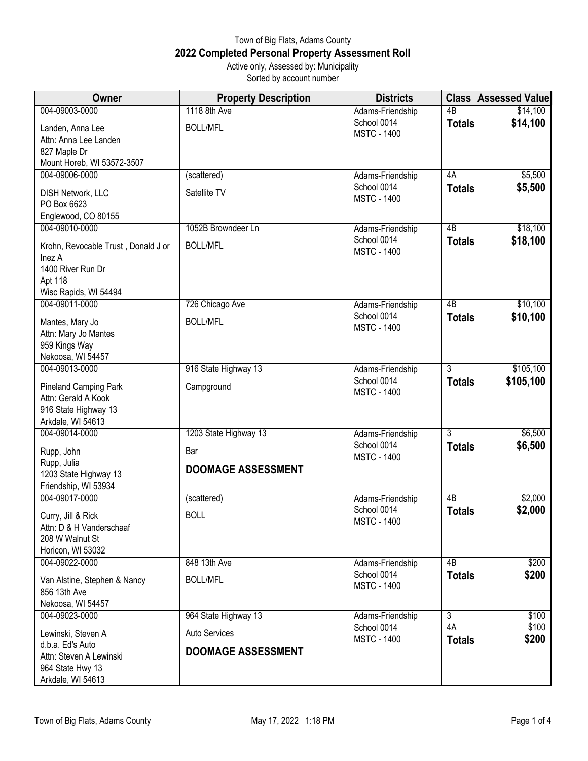## Town of Big Flats, Adams County **2022 Completed Personal Property Assessment Roll** Active only, Assessed by: Municipality

Sorted by account number

| Owner                                        | <b>Property Description</b> | <b>Districts</b>                  | <b>Class</b>        | <b>Assessed Value</b> |
|----------------------------------------------|-----------------------------|-----------------------------------|---------------------|-----------------------|
| 004-09003-0000                               | 1118 8th Ave                | Adams-Friendship                  | 4 <sub>B</sub>      | \$14,100              |
| Landen, Anna Lee                             | <b>BOLL/MFL</b>             | School 0014<br><b>MSTC - 1400</b> | <b>Totals</b>       | \$14,100              |
| Attn: Anna Lee Landen                        |                             |                                   |                     |                       |
| 827 Maple Dr                                 |                             |                                   |                     |                       |
| Mount Horeb, WI 53572-3507<br>004-09006-0000 |                             |                                   |                     |                       |
|                                              | (scattered)                 | Adams-Friendship<br>School 0014   | 4A                  | \$5,500<br>\$5,500    |
| DISH Network, LLC                            | Satellite TV                | <b>MSTC - 1400</b>                | <b>Totals</b>       |                       |
| PO Box 6623                                  |                             |                                   |                     |                       |
| Englewood, CO 80155<br>004-09010-0000        | 1052B Browndeer Ln          | Adams-Friendship                  | 4B                  | \$18,100              |
|                                              |                             | School 0014                       | <b>Totals</b>       | \$18,100              |
| Krohn, Revocable Trust, Donald J or          | <b>BOLL/MFL</b>             | <b>MSTC - 1400</b>                |                     |                       |
| Inez A<br>1400 River Run Dr                  |                             |                                   |                     |                       |
| Apt 118                                      |                             |                                   |                     |                       |
| Wisc Rapids, WI 54494                        |                             |                                   |                     |                       |
| 004-09011-0000                               | 726 Chicago Ave             | Adams-Friendship                  | 4B                  | \$10,100              |
| Mantes, Mary Jo                              | <b>BOLL/MFL</b>             | School 0014                       | <b>Totals</b>       | \$10,100              |
| Attn: Mary Jo Mantes                         |                             | <b>MSTC - 1400</b>                |                     |                       |
| 959 Kings Way                                |                             |                                   |                     |                       |
| Nekoosa, WI 54457                            |                             |                                   |                     |                       |
| 004-09013-0000                               | 916 State Highway 13        | Adams-Friendship                  | $\overline{3}$      | \$105,100             |
| Pineland Camping Park                        | Campground                  | School 0014<br><b>MSTC - 1400</b> | <b>Totals</b>       | \$105,100             |
| Attn: Gerald A Kook                          |                             |                                   |                     |                       |
| 916 State Highway 13                         |                             |                                   |                     |                       |
| Arkdale, WI 54613<br>004-09014-0000          | 1203 State Highway 13       | Adams-Friendship                  | 3                   | \$6,500               |
|                                              |                             | School 0014                       | <b>Totals</b>       | \$6,500               |
| Rupp, John                                   | Bar                         | <b>MSTC - 1400</b>                |                     |                       |
| Rupp, Julia<br>1203 State Highway 13         | <b>DOOMAGE ASSESSMENT</b>   |                                   |                     |                       |
| Friendship, WI 53934                         |                             |                                   |                     |                       |
| 004-09017-0000                               | (scattered)                 | Adams-Friendship                  | $\overline{AB}$     | \$2,000               |
| Curry, Jill & Rick                           | <b>BOLL</b>                 | School 0014                       | <b>Totals</b>       | \$2,000               |
| Attn: D & H Vanderschaaf                     |                             | <b>MSTC - 1400</b>                |                     |                       |
| 208 W Walnut St                              |                             |                                   |                     |                       |
| Horicon, WI 53032                            |                             |                                   |                     |                       |
| 004-09022-0000                               | 848 13th Ave                | Adams-Friendship                  | 4B                  | \$200                 |
| Van Alstine, Stephen & Nancy                 | <b>BOLL/MFL</b>             | School 0014                       | <b>Totals</b>       | \$200                 |
| 856 13th Ave                                 |                             | <b>MSTC - 1400</b>                |                     |                       |
| Nekoosa, WI 54457                            |                             |                                   |                     |                       |
| 004-09023-0000                               | 964 State Highway 13        | Adams-Friendship                  | $\overline{3}$      | \$100                 |
| Lewinski, Steven A                           | <b>Auto Services</b>        | School 0014<br><b>MSTC - 1400</b> | 4A<br><b>Totals</b> | \$100<br>\$200        |
| d.b.a. Ed's Auto                             | <b>DOOMAGE ASSESSMENT</b>   |                                   |                     |                       |
| Attn: Steven A Lewinski                      |                             |                                   |                     |                       |
| 964 State Hwy 13<br>Arkdale, WI 54613        |                             |                                   |                     |                       |
|                                              |                             |                                   |                     |                       |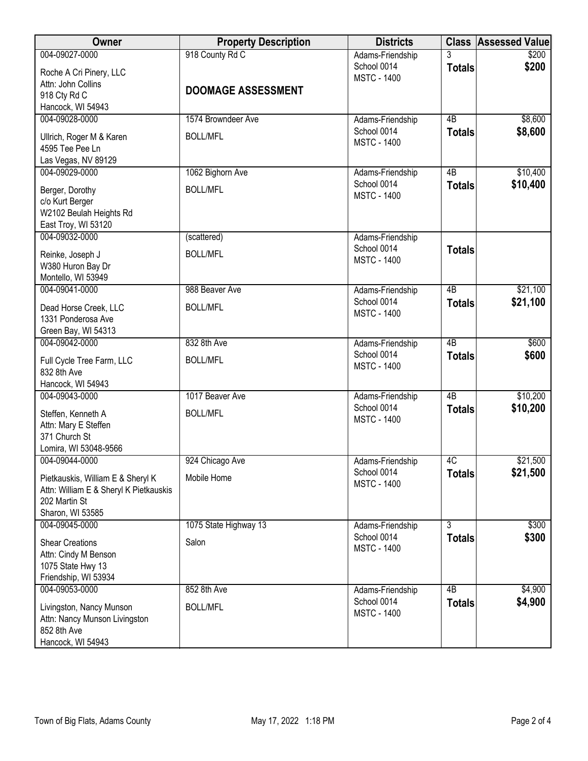| Owner                                                                                                            | <b>Property Description</b> | <b>Districts</b>                                      |                 | <b>Class Assessed Value</b> |
|------------------------------------------------------------------------------------------------------------------|-----------------------------|-------------------------------------------------------|-----------------|-----------------------------|
| 004-09027-0000<br>Roche A Cri Pinery, LLC                                                                        | 918 County Rd C             | Adams-Friendship<br>School 0014<br><b>MSTC - 1400</b> | <b>Totals</b>   | \$200<br>\$200              |
| Attn: John Collins<br>918 Cty Rd C<br>Hancock, WI 54943                                                          | <b>DOOMAGE ASSESSMENT</b>   |                                                       |                 |                             |
| 004-09028-0000                                                                                                   | 1574 Browndeer Ave          | Adams-Friendship                                      | $\overline{AB}$ | \$8,600                     |
| Ullrich, Roger M & Karen<br>4595 Tee Pee Ln<br>Las Vegas, NV 89129                                               | <b>BOLL/MFL</b>             | School 0014<br><b>MSTC - 1400</b>                     | <b>Totals</b>   | \$8,600                     |
| 004-09029-0000                                                                                                   | 1062 Bighorn Ave            | Adams-Friendship                                      | 4B              | \$10,400                    |
| Berger, Dorothy<br>c/o Kurt Berger<br>W2102 Beulah Heights Rd<br>East Troy, WI 53120                             | <b>BOLL/MFL</b>             | School 0014<br><b>MSTC - 1400</b>                     | <b>Totals</b>   | \$10,400                    |
| 004-09032-0000                                                                                                   | (scattered)                 | Adams-Friendship                                      |                 |                             |
| Reinke, Joseph J<br>W380 Huron Bay Dr<br>Montello, WI 53949                                                      | <b>BOLL/MFL</b>             | School 0014<br><b>MSTC - 1400</b>                     | <b>Totals</b>   |                             |
| 004-09041-0000                                                                                                   | 988 Beaver Ave              | Adams-Friendship                                      | $\overline{AB}$ | \$21,100                    |
| Dead Horse Creek, LLC<br>1331 Ponderosa Ave<br>Green Bay, WI 54313                                               | <b>BOLL/MFL</b>             | School 0014<br><b>MSTC - 1400</b>                     | <b>Totals</b>   | \$21,100                    |
| 004-09042-0000                                                                                                   | 832 8th Ave                 | Adams-Friendship                                      | 4B              | \$600                       |
| Full Cycle Tree Farm, LLC<br>832 8th Ave<br>Hancock, WI 54943                                                    | <b>BOLL/MFL</b>             | School 0014<br><b>MSTC - 1400</b>                     | <b>Totals</b>   | \$600                       |
| 004-09043-0000                                                                                                   | 1017 Beaver Ave             | Adams-Friendship                                      | $\overline{AB}$ | \$10,200                    |
| Steffen, Kenneth A<br>Attn: Mary E Steffen<br>371 Church St<br>Lomira, WI 53048-9566                             | <b>BOLL/MFL</b>             | School 0014<br><b>MSTC - 1400</b>                     | <b>Totals</b>   | \$10,200                    |
| 004-09044-0000                                                                                                   | 924 Chicago Ave             | Adams-Friendship                                      | 4C              | \$21,500                    |
| Pietkauskis, William E & Sheryl K<br>Attn: William E & Sheryl K Pietkauskis<br>202 Martin St<br>Sharon, WI 53585 | Mobile Home                 | School 0014<br><b>MSTC - 1400</b>                     | <b>Totals</b>   | \$21,500                    |
| 004-09045-0000                                                                                                   | 1075 State Highway 13       | Adams-Friendship                                      | 3               | \$300                       |
| <b>Shear Creations</b><br>Attn: Cindy M Benson<br>1075 State Hwy 13<br>Friendship, WI 53934                      | Salon                       | School 0014<br><b>MSTC - 1400</b>                     | <b>Totals</b>   | \$300                       |
| 004-09053-0000                                                                                                   | 852 8th Ave                 | Adams-Friendship                                      | 4B              | \$4,900                     |
| Livingston, Nancy Munson<br>Attn: Nancy Munson Livingston<br>852 8th Ave<br>Hancock, WI 54943                    | <b>BOLL/MFL</b>             | School 0014<br><b>MSTC - 1400</b>                     | <b>Totals</b>   | \$4,900                     |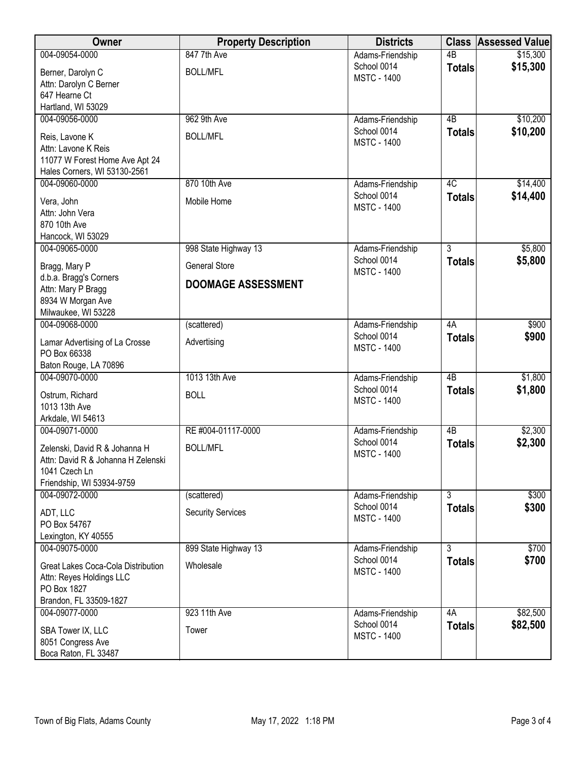| Owner                                                          | <b>Property Description</b> | <b>Districts</b>                  |                 | <b>Class Assessed Value</b> |
|----------------------------------------------------------------|-----------------------------|-----------------------------------|-----------------|-----------------------------|
| 004-09054-0000                                                 | 847 7th Ave                 | Adams-Friendship                  | $\overline{AB}$ | \$15,300                    |
| Berner, Darolyn C                                              | <b>BOLL/MFL</b>             | School 0014<br><b>MSTC - 1400</b> | <b>Totals</b>   | \$15,300                    |
| Attn: Darolyn C Berner                                         |                             |                                   |                 |                             |
| 647 Hearne Ct                                                  |                             |                                   |                 |                             |
| Hartland, WI 53029<br>004-09056-0000                           | 962 9th Ave                 | Adams-Friendship                  | $\overline{AB}$ | \$10,200                    |
|                                                                |                             | School 0014                       | <b>Totals</b>   | \$10,200                    |
| Reis, Lavone K                                                 | <b>BOLL/MFL</b>             | <b>MSTC - 1400</b>                |                 |                             |
| Attn: Lavone K Reis<br>11077 W Forest Home Ave Apt 24          |                             |                                   |                 |                             |
| Hales Corners, WI 53130-2561                                   |                             |                                   |                 |                             |
| 004-09060-0000                                                 | 870 10th Ave                | Adams-Friendship                  | 4C              | \$14,400                    |
| Vera, John                                                     | Mobile Home                 | School 0014                       | <b>Totals</b>   | \$14,400                    |
| Attn: John Vera                                                |                             | <b>MSTC - 1400</b>                |                 |                             |
| 870 10th Ave                                                   |                             |                                   |                 |                             |
| Hancock, WI 53029                                              |                             |                                   |                 |                             |
| 004-09065-0000                                                 | 998 State Highway 13        | Adams-Friendship                  | $\overline{3}$  | \$5,800                     |
| Bragg, Mary P                                                  | <b>General Store</b>        | School 0014<br><b>MSTC - 1400</b> | <b>Totals</b>   | \$5,800                     |
| d.b.a. Bragg's Corners                                         | <b>DOOMAGE ASSESSMENT</b>   |                                   |                 |                             |
| Attn: Mary P Bragg                                             |                             |                                   |                 |                             |
| 8934 W Morgan Ave<br>Milwaukee, WI 53228                       |                             |                                   |                 |                             |
| 004-09068-0000                                                 | (scattered)                 | Adams-Friendship                  | 4A              | \$900                       |
|                                                                |                             | School 0014                       | <b>Totals</b>   | \$900                       |
| Lamar Advertising of La Crosse<br>PO Box 66338                 | Advertising                 | <b>MSTC - 1400</b>                |                 |                             |
| Baton Rouge, LA 70896                                          |                             |                                   |                 |                             |
| 004-09070-0000                                                 | 1013 13th Ave               | Adams-Friendship                  | 4B              | \$1,800                     |
| Ostrum, Richard                                                | <b>BOLL</b>                 | School 0014                       | <b>Totals</b>   | \$1,800                     |
| 1013 13th Ave                                                  |                             | <b>MSTC - 1400</b>                |                 |                             |
| Arkdale, WI 54613                                              |                             |                                   |                 |                             |
| 004-09071-0000                                                 | RE #004-01117-0000          | Adams-Friendship                  | $\overline{AB}$ | \$2,300                     |
| Zelenski, David R & Johanna H                                  | <b>BOLL/MFL</b>             | School 0014                       | <b>Totals</b>   | \$2,300                     |
| Attn: David R & Johanna H Zelenski                             |                             | <b>MSTC - 1400</b>                |                 |                             |
| 1041 Czech Ln                                                  |                             |                                   |                 |                             |
| Friendship, WI 53934-9759                                      |                             |                                   | $\overline{3}$  |                             |
| 004-09072-0000                                                 | (scattered)                 | Adams-Friendship<br>School 0014   | <b>Totals</b>   | \$300<br>\$300              |
| ADT, LLC                                                       | <b>Security Services</b>    | <b>MSTC - 1400</b>                |                 |                             |
| PO Box 54767<br>Lexington, KY 40555                            |                             |                                   |                 |                             |
| 004-09075-0000                                                 | 899 State Highway 13        | Adams-Friendship                  | $\overline{3}$  | \$700                       |
|                                                                |                             | School 0014                       | <b>Totals</b>   | \$700                       |
| Great Lakes Coca-Cola Distribution<br>Attn: Reyes Holdings LLC | Wholesale                   | <b>MSTC - 1400</b>                |                 |                             |
| PO Box 1827                                                    |                             |                                   |                 |                             |
| Brandon, FL 33509-1827                                         |                             |                                   |                 |                             |
| 004-09077-0000                                                 | 923 11th Ave                | Adams-Friendship                  | 4A              | \$82,500                    |
| SBA Tower IX, LLC                                              | Tower                       | School 0014                       | <b>Totals</b>   | \$82,500                    |
| 8051 Congress Ave                                              |                             | <b>MSTC - 1400</b>                |                 |                             |
| Boca Raton, FL 33487                                           |                             |                                   |                 |                             |